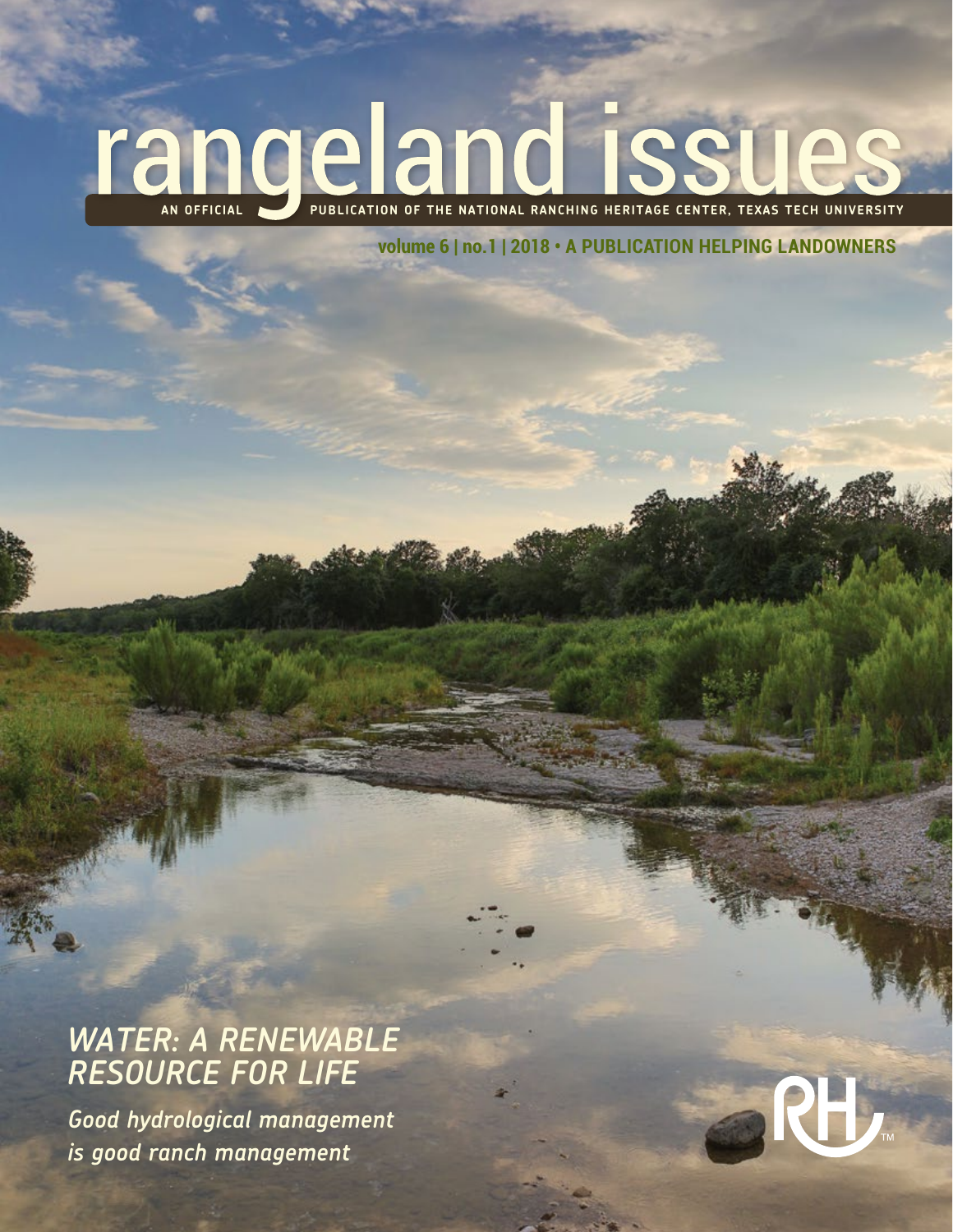# **AN OFFICIAL PUBLICATION OF THE NATIONAL RANCHING HERITAGE CENTER, TEXAS TECH UNIVERSITY**

**volume 6 | no.1 | 2018 • A PUBLICATION HELPING LANDOWNERS**

# *WATER: A RENEWABLE RESOURCE FOR LIFE*

*Good hydrological management is good ranch management*

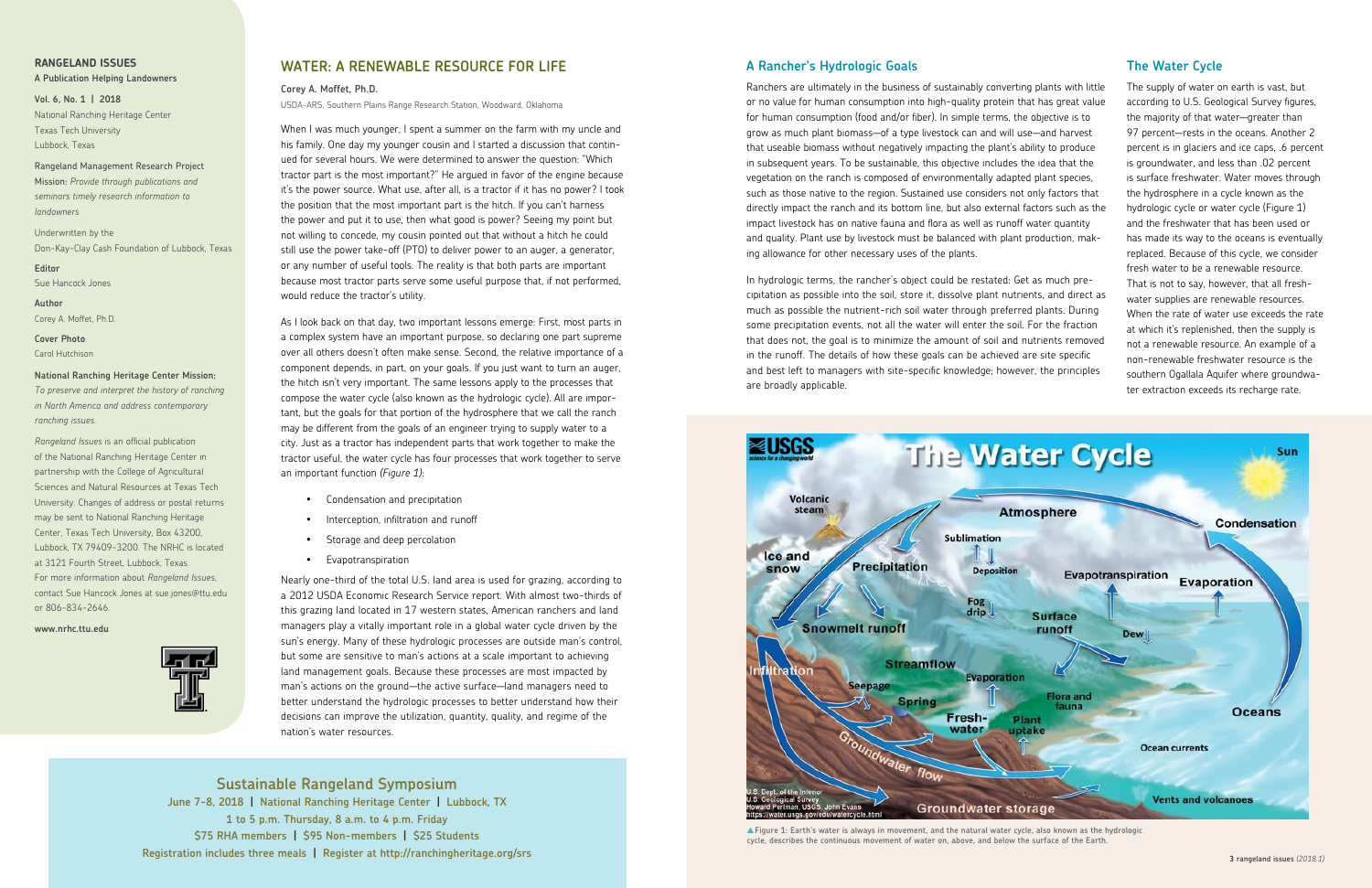

<sup>▲</sup>**Figure 1: Earth's water is always in movement, and the natural water cycle, also known as the hydrologic cycle, describes the continuous movement of water on, above, and below the surface of the Earth.**

## **WATER: A RENEWABLE RESOURCE FOR LIFE**

**Corey A. Moffet, Ph.D.**

USDA-ARS, Southern Plains Range Research Station, Woodward, Oklahoma

When I was much younger, I spent a summer on the farm with my uncle and his family. One day my younger cousin and I started a discussion that continued for several hours. We were determined to answer the question: "Which tractor part is the most important?" He argued in favor of the engine because it's the power source. What use, after all, is a tractor if it has no power? I took the position that the most important part is the hitch. If you can't harness the power and put it to use, then what good is power? Seeing my point but not willing to concede, my cousin pointed out that without a hitch he could still use the power take-off (PTO) to deliver power to an auger, a generator, or any number of useful tools. The reality is that both parts are important because most tractor parts serve some useful purpose that, if not performed, would reduce the tractor's utility.

As I look back on that day, two important lessons emerge: First, most parts in a complex system have an important purpose, so declaring one part supreme over all others doesn't often make sense. Second, the relative importance of a component depends, in part, on your goals. If you just want to turn an auger, the hitch isn't very important. The same lessons apply to the processes that compose the water cycle (also known as the hydrologic cycle). All are important, but the goals for that portion of the hydrosphere that we call the ranch may be different from the goals of an engineer trying to supply water to a city. Just as a tractor has independent parts that work together to make the tractor useful, the water cycle has four processes that work together to serve an important function *(Figure 1)*:

- • Condensation and precipitation
- • Interception, infiltration and runoff
- • Storage and deep percolation
- • Evapotranspiration

Nearly one-third of the total U.S. land area is used for grazing, according to a 2012 USDA Economic Research Service report. With almost two-thirds of this grazing land located in 17 western states, American ranchers and land managers play a vitally important role in a global water cycle driven by the sun's energy. Many of these hydrologic processes are outside man's control, but some are sensitive to man's actions at a scale important to achieving land management goals. Because these processes are most impacted by man's actions on the ground—the active surface—land managers need to better understand the hydrologic processes to better understand how their decisions can improve the utilization, quantity, quality, and regime of the nation's water resources.

### **A Rancher's Hydrologic Goals**

Ranchers are ultimately in the business of sustainably converting plants with little or no value for human consumption into high-quality protein that has great value for human consumption (food and/or fiber). In simple terms, the objective is to grow as much plant biomass—of a type livestock can and will use—and harvest that useable biomass without negatively impacting the plant's ability to produce in subsequent years. To be sustainable, this objective includes the idea that the vegetation on the ranch is composed of environmentally adapted plant species, such as those native to the region. Sustained use considers not only factors that directly impact the ranch and its bottom line, but also external factors such as the impact livestock has on native fauna and flora as well as runoff water quantity and quality. Plant use by livestock must be balanced with plant production, making allowance for other necessary uses of the plants.

In hydrologic terms, the rancher's object could be restated: Get as much precipitation as possible into the soil, store it, dissolve plant nutrients, and direct as much as possible the nutrient-rich soil water through preferred plants. During some precipitation events, not all the water will enter the soil. For the fraction that does not, the goal is to minimize the amount of soil and nutrients removed in the runoff. The details of how these goals can be achieved are site specific and best left to managers with site-specific knowledge; however, the principles are broadly applicable.

#### **The Water Cycle**

The supply of water on earth is vast, but according to U.S. Geological Survey figures, the majority of that water—greater than 97 percent—rests in the oceans. Another 2 percent is in glaciers and ice caps, .6 percent is groundwater, and less than .02 percent is surface freshwater. Water moves through the hydrosphere in a cycle known as the hydrologic cycle or water cycle (Figure 1) and the freshwater that has been used or has made its way to the oceans is eventually replaced. Because of this cycle, we consider fresh water to be a renewable resource. That is not to say, however, that all freshwater supplies are renewable resources. When the rate of water use exceeds the rate at which it's replenished, then the supply is not a renewable resource. An example of a non-renewable freshwater resource is the southern Ogallala Aquifer where groundwater extraction exceeds its recharge rate.

## **RANGELAND ISSUES**

#### **A Publication Helping Landowners**

**Vol. 6, No. 1 | 2018** National Ranching Heritage Center Texas Tech University Lubbock, Texas

Rangeland Management Research Project Mission: *Provide through publications and seminars timely research information to landowners*

Underwritten by the Don-Kay-Clay Cash Foundation of Lubbock, Texas

**Editor** Sue Hancock Jones

**Author** Corey A. Moffet, Ph.D.

**Cover Photo** Carol Hutchison

#### **National Ranching Heritage Center Mission:**

*To preserve and interpret the history of ranching in North America and address contemporary ranching issues.*

*Rangeland Issues* is an official publication of the National Ranching Heritage Center in partnership with the College of Agricultural Sciences and Natural Resources at Texas Tech University. Changes of address or postal returns may be sent to National Ranching Heritage Center, Texas Tech University, Box 43200, Lubbock, TX 79409-3200. The NRHC is located at 3121 Fourth Street, Lubbock, Texas. For more information about *Rangeland Issues*, contact Sue Hancock Jones at sue.jones@ttu.edu or 806-834-2646.

**www.nrhc.ttu.edu**



**Sustainable Rangeland Symposium**

**June 7-8, 2018 | National Ranching Heritage Center | Lubbock, TX 1 to 5 p.m. Thursday, 8 a.m. to 4 p.m. Friday \$75 RHA members | \$95 Non-members | \$25 Students Registration includes three meals | Register at http://ranchingheritage.org/srs**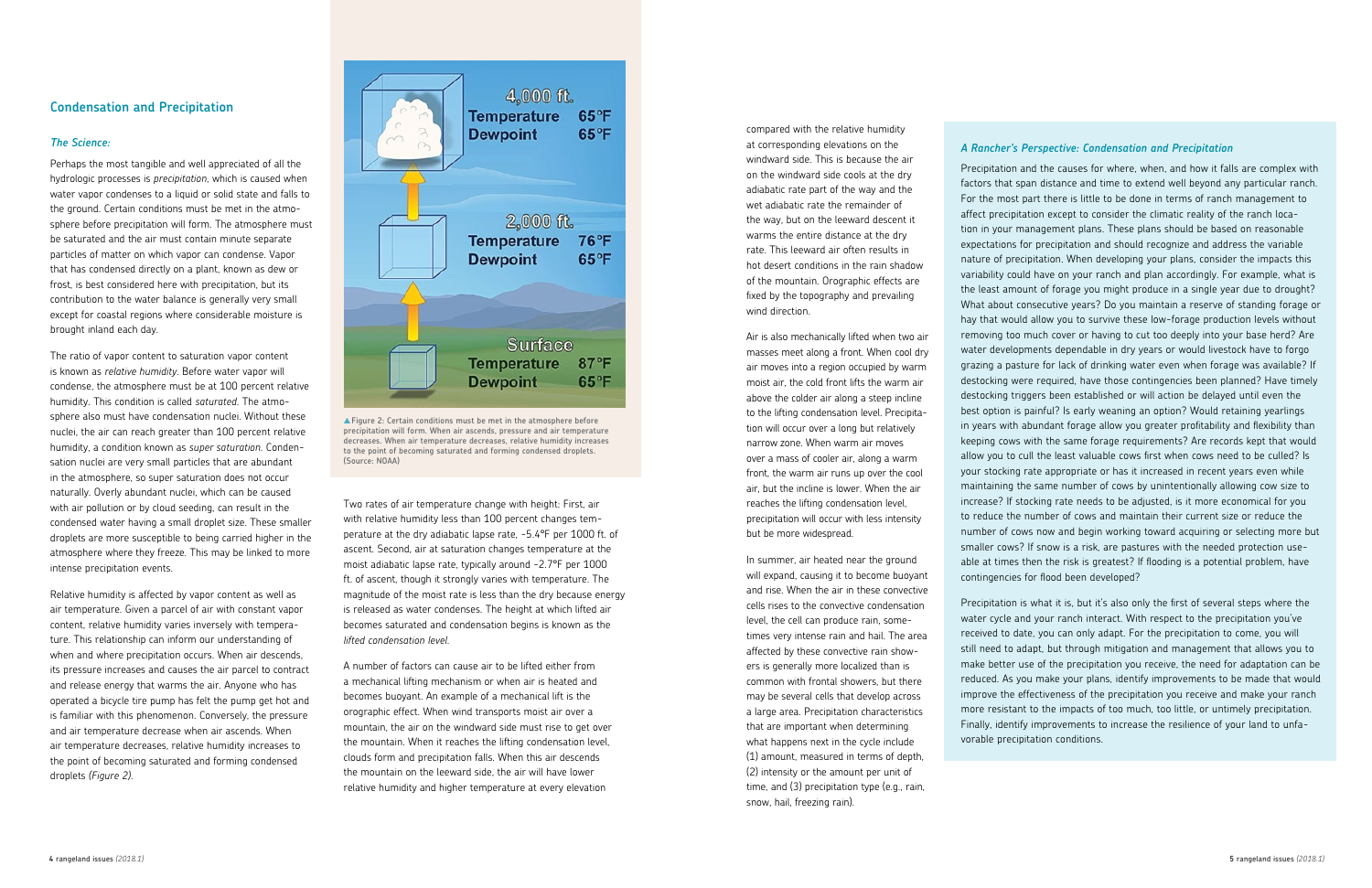#### **Condensation and Precipitation**

#### *The Science:*

Perhaps the most tangible and well appreciated of all the hydrologic processes is *precipitation*, which is caused when water vapor condenses to a liquid or solid state and falls to the ground. Certain conditions must be met in the atmosphere before precipitation will form. The atmosphere must be saturated and the air must contain minute separate particles of matter on which vapor can condense. Vapor that has condensed directly on a plant, known as dew or frost, is best considered here with precipitation, but its contribution to the water balance is generally very small except for coastal regions where considerable moisture is brought inland each day.

The ratio of vapor content to saturation vapor content is known as *relative humidity*. Before water vapor will condense, the atmosphere must be at 100 percent relative humidity. This condition is called *saturated*. The atmosphere also must have condensation nuclei. Without these nuclei, the air can reach greater than 100 percent relative humidity, a condition known as *super saturation*. Condensation nuclei are very small particles that are abundant in the atmosphere, so super saturation does not occur naturally. Overly abundant nuclei, which can be caused with air pollution or by cloud seeding, can result in the condensed water having a small droplet size. These smaller droplets are more susceptible to being carried higher in the atmosphere where they freeze. This may be linked to more intense precipitation events.

Relative humidity is affected by vapor content as well as air temperature. Given a parcel of air with constant vapor content, relative humidity varies inversely with temperature. This relationship can inform our understanding of when and where precipitation occurs. When air descends, its pressure increases and causes the air parcel to contract and release energy that warms the air. Anyone who has operated a bicycle tire pump has felt the pump get hot and is familiar with this phenomenon. Conversely, the pressure and air temperature decrease when air ascends. When air temperature decreases, relative humidity increases to the point of becoming saturated and forming condensed droplets *(Figure 2)*.



Two rates of air temperature change with height: First, air with relative humidity less than 100 percent changes temperature at the dry adiabatic lapse rate, -5.4°F per 1000 ft. of ascent. Second, air at saturation changes temperature at the moist adiabatic lapse rate, typically around -2.7°F per 1000 ft. of ascent, though it strongly varies with temperature. The magnitude of the moist rate is less than the dry because energy is released as water condenses. The height at which lifted air becomes saturated and condensation begins is known as the *lifted condensation level*.

A number of factors can cause air to be lifted either from a mechanical lifting mechanism or when air is heated and becomes buoyant. An example of a mechanical lift is the orographic effect. When wind transports moist air over a mountain, the air on the windward side must rise to get over the mountain. When it reaches the lifting condensation level, clouds form and precipitation falls. When this air descends the mountain on the leeward side, the air will have lower relative humidity and higher temperature at every elevation

compared with the relative humidity at corresponding elevations on the windward side. This is because the air on the windward side cools at the dry adiabatic rate part of the way and the wet adiabatic rate the remainder of the way, but on the leeward descent it warms the entire distance at the dry rate. This leeward air often results in hot desert conditions in the rain shadow of the mountain. Orographic effects are fixed by the topography and prevailing wind direction.

Air is also mechanically lifted when two air masses meet along a front. When cool dry air moves into a region occupied by warm moist air, the cold front lifts the warm air above the colder air along a steep incline to the lifting condensation level. Precipitation will occur over a long but relatively narrow zone. When warm air moves over a mass of cooler air, along a warm front, the warm air runs up over the cool air, but the incline is lower. When the air reaches the lifting condensation level, precipitation will occur with less intensity but be more widespread.

In summer, air heated near the ground will expand, causing it to become buoyant and rise. When the air in these convective cells rises to the convective condensation level, the cell can produce rain, sometimes very intense rain and hail. The area affected by these convective rain showers is generally more localized than is common with frontal showers, but there may be several cells that develop across a large area. Precipitation characteristics that are important when determining what happens next in the cycle include (1) amount, measured in terms of depth, (2) intensity or the amount per unit of time, and (3) precipitation type (e.g., rain, snow, hail, freezing rain).

#### *A Rancher's Perspective: Condensation and Precipitation*

Precipitation and the causes for where, when, and how it falls are complex with factors that span distance and time to extend well beyond any particular ranch. For the most part there is little to be done in terms of ranch management to affect precipitation except to consider the climatic reality of the ranch location in your management plans. These plans should be based on reasonable expectations for precipitation and should recognize and address the variable nature of precipitation. When developing your plans, consider the impacts this variability could have on your ranch and plan accordingly. For example, what is the least amount of forage you might produce in a single year due to drought? What about consecutive years? Do you maintain a reserve of standing forage or hay that would allow you to survive these low-forage production levels without removing too much cover or having to cut too deeply into your base herd? Are water developments dependable in dry years or would livestock have to forgo grazing a pasture for lack of drinking water even when forage was available? If destocking were required, have those contingencies been planned? Have timely destocking triggers been established or will action be delayed until even the best option is painful? Is early weaning an option? Would retaining yearlings in years with abundant forage allow you greater profitability and flexibility than keeping cows with the same forage requirements? Are records kept that would allow you to cull the least valuable cows first when cows need to be culled? Is your stocking rate appropriate or has it increased in recent years even while maintaining the same number of cows by unintentionally allowing cow size to increase? If stocking rate needs to be adjusted, is it more economical for you to reduce the number of cows and maintain their current size or reduce the number of cows now and begin working toward acquiring or selecting more but smaller cows? If snow is a risk, are pastures with the needed protection useable at times then the risk is greatest? If flooding is a potential problem, have contingencies for flood been developed?

Precipitation is what it is, but it's also only the first of several steps where the water cycle and your ranch interact. With respect to the precipitation you've received to date, you can only adapt. For the precipitation to come, you will still need to adapt, but through mitigation and management that allows you to make better use of the precipitation you receive, the need for adaptation can be reduced. As you make your plans, identify improvements to be made that would improve the effectiveness of the precipitation you receive and make your ranch more resistant to the impacts of too much, too little, or untimely precipitation. Finally, identify improvements to increase the resilience of your land to unfavorable precipitation conditions.

▲**Figure 2: Certain conditions must be met in the atmosphere before precipitation will form. When air ascends, pressure and air temperature decreases. When air temperature decreases, relative humidity increases to the point of becoming saturated and forming condensed droplets. (Source: NOAA)**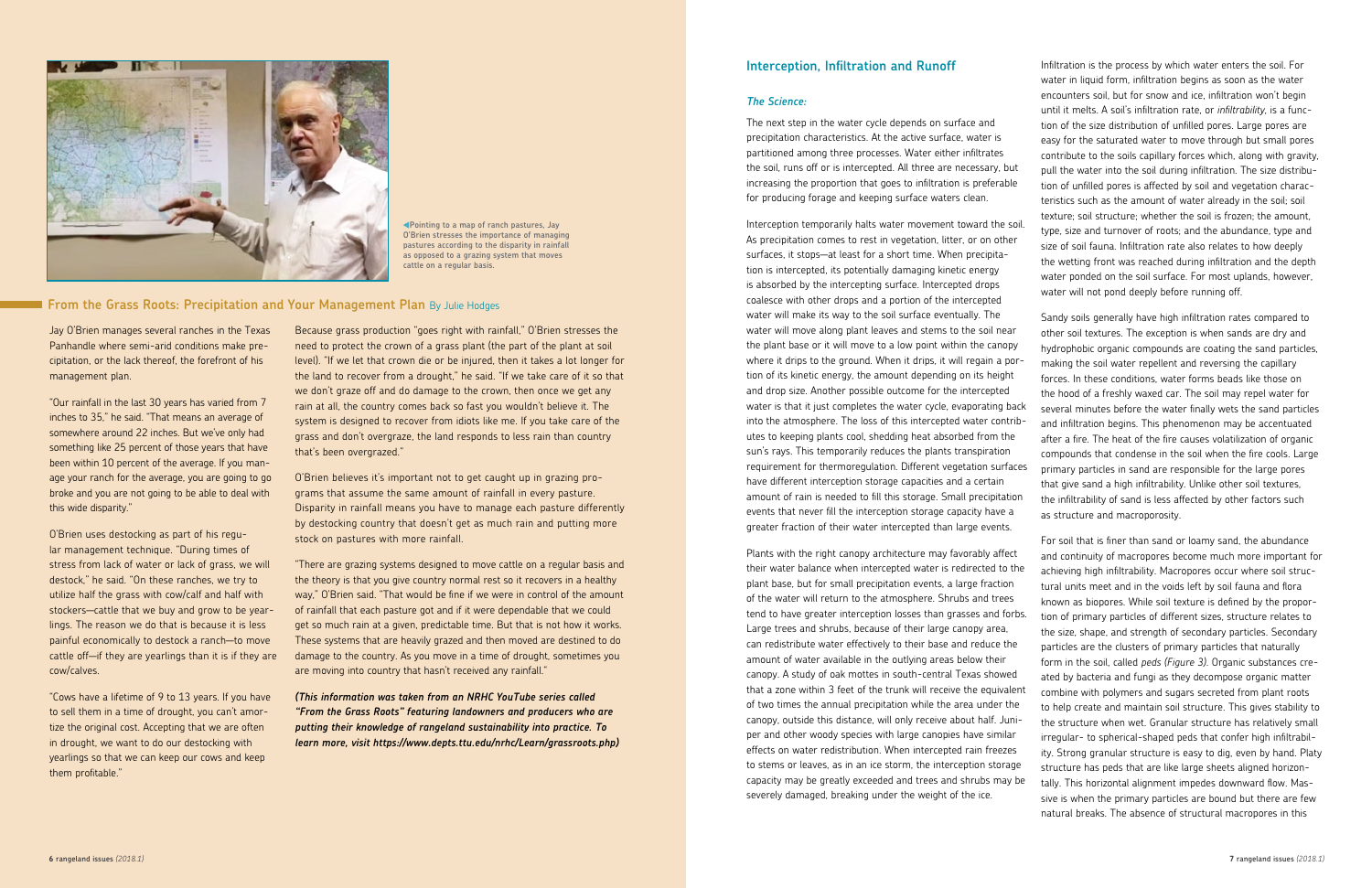#### **Interception, Infiltration and Runoff**

#### *The Science:*

The next step in the water cycle depends on surface and precipitation characteristics. At the active surface, water is partitioned among three processes. Water either infiltrates the soil, runs off or is intercepted. All three are necessary, but increasing the proportion that goes to infiltration is preferable for producing forage and keeping surface waters clean.

Interception temporarily halts water movement toward the soil. As precipitation comes to rest in vegetation, litter, or on other surfaces, it stops—at least for a short time. When precipitation is intercepted, its potentially damaging kinetic energy is absorbed by the intercepting surface. Intercepted drops coalesce with other drops and a portion of the intercepted water will make its way to the soil surface eventually. The water will move along plant leaves and stems to the soil near the plant base or it will move to a low point within the canopy where it drips to the ground. When it drips, it will regain a portion of its kinetic energy, the amount depending on its height and drop size. Another possible outcome for the intercepted water is that it just completes the water cycle, evaporating back into the atmosphere. The loss of this intercepted water contributes to keeping plants cool, shedding heat absorbed from the sun's rays. This temporarily reduces the plants transpiration requirement for thermoregulation. Different vegetation surfaces have different interception storage capacities and a certain amount of rain is needed to fill this storage. Small precipitation events that never fill the interception storage capacity have a greater fraction of their water intercepted than large events.

Infiltration is the process by which water enters the soil. For water in liquid form, infiltration begins as soon as the water encounters soil, but for snow and ice, infiltration won't begin until it melts. A soil's infiltration rate, or *infiltrability*, is a function of the size distribution of unfilled pores. Large pores are easy for the saturated water to move through but small pores contribute to the soils capillary forces which, along with gravity, pull the water into the soil during infiltration. The size distribution of unfilled pores is affected by soil and vegetation characteristics such as the amount of water already in the soil; soil texture; soil structure; whether the soil is frozen; the amount, type, size and turnover of roots; and the abundance, type and size of soil fauna. Infiltration rate also relates to how deeply the wetting front was reached during infiltration and the depth water ponded on the soil surface. For most uplands, however, water will not pond deeply before running off.

Plants with the right canopy architecture may favorably affect their water balance when intercepted water is redirected to the plant base, but for small precipitation events, a large fraction of the water will return to the atmosphere. Shrubs and trees tend to have greater interception losses than grasses and forbs. Large trees and shrubs, because of their large canopy area, can redistribute water effectively to their base and reduce the amount of water available in the outlying areas below their canopy. A study of oak mottes in south-central Texas showed that a zone within 3 feet of the trunk will receive the equivalent of two times the annual precipitation while the area under the canopy, outside this distance, will only receive about half. Juniper and other woody species with large canopies have similar effects on water redistribution. When intercepted rain freezes to stems or leaves, as in an ice storm, the interception storage capacity may be greatly exceeded and trees and shrubs may be severely damaged, breaking under the weight of the ice. For soil that is finer than sand or loamy sand, the abundance and continuity of macropores become much more important for achieving high infiltrability. Macropores occur where soil structural units meet and in the voids left by soil fauna and flora known as biopores. While soil texture is defined by the proportion of primary particles of different sizes, structure relates to the size, shape, and strength of secondary particles. Secondary particles are the clusters of primary particles that naturally form in the soil, called *peds (Figure 3)*. Organic substances created by bacteria and fungi as they decompose organic matter combine with polymers and sugars secreted from plant roots to help create and maintain soil structure. This gives stability to the structure when wet. Granular structure has relatively small irregular- to spherical-shaped peds that confer high infiltrability. Strong granular structure is easy to dig, even by hand. Platy structure has peds that are like large sheets aligned horizontally. This horizontal alignment impedes downward flow. Massive is when the primary particles are bound but there are few natural breaks. The absence of structural macropores in this

Sandy soils generally have high infiltration rates compared to other soil textures. The exception is when sands are dry and hydrophobic organic compounds are coating the sand particles, making the soil water repellent and reversing the capillary forces. In these conditions, water forms beads like those on the hood of a freshly waxed car. The soil may repel water for several minutes before the water finally wets the sand particles and infiltration begins. This phenomenon may be accentuated after a fire. The heat of the fire causes volatilization of organic compounds that condense in the soil when the fire cools. Large primary particles in sand are responsible for the large pores that give sand a high infiltrability. Unlike other soil textures, the infiltrability of sand is less affected by other factors such as structure and macroporosity.

Jay O'Brien manages several ranches in the Texas Panhandle where semi-arid conditions make precipitation, or the lack thereof, the forefront of his management plan.

"Our rainfall in the last 30 years has varied from 7 inches to 35," he said. "That means an average of somewhere around 22 inches. But we've only had something like 25 percent of those years that have been within 10 percent of the average. If you manage your ranch for the average, you are going to go broke and you are not going to be able to deal with this wide disparity."

O'Brien uses destocking as part of his regular management technique. "During times of stress from lack of water or lack of grass, we will destock," he said. "On these ranches, we try to utilize half the grass with cow/calf and half with stockers—cattle that we buy and grow to be yearlings. The reason we do that is because it is less painful economically to destock a ranch—to move cattle off—if they are yearlings than it is if they are cow/calves.

"Cows have a lifetime of 9 to 13 years. If you have to sell them in a time of drought, you can't amortize the original cost. Accepting that we are often in drought, we want to do our destocking with yearlings so that we can keep our cows and keep them profitable."

Because grass production "goes right with rainfall," O'Brien stresses the need to protect the crown of a grass plant (the part of the plant at soil level). "If we let that crown die or be injured, then it takes a lot longer for the land to recover from a drought," he said. "If we take care of it so that we don't graze off and do damage to the crown, then once we get any rain at all, the country comes back so fast you wouldn't believe it. The system is designed to recover from idiots like me. If you take care of the grass and don't overgraze, the land responds to less rain than country that's been overgrazed."

O'Brien believes it's important not to get caught up in grazing programs that assume the same amount of rainfall in every pasture. Disparity in rainfall means you have to manage each pasture differently by destocking country that doesn't get as much rain and putting more stock on pastures with more rainfall.

"There are grazing systems designed to move cattle on a regular basis and the theory is that you give country normal rest so it recovers in a healthy way," O'Brien said. "That would be fine if we were in control of the amount of rainfall that each pasture got and if it were dependable that we could get so much rain at a given, predictable time. But that is not how it works. These systems that are heavily grazed and then moved are destined to do damage to the country. As you move in a time of drought, sometimes you are moving into country that hasn't received any rainfall."

*(This information was taken from an NRHC YouTube series called "From the Grass Roots" featuring landowners and producers who are putting their knowledge of rangeland sustainability into practice. To learn more, visit https://www.depts.ttu.edu/nrhc/Learn/grassroots.php)* 



**Pointing to a map of ranch pastures, Jay O'Brien stresses the importance of managing pastures according to the disparity in rainfall as opposed to a grazing system that moves cattle on a regular basis.** 

#### **From the Grass Roots: Precipitation and Your Management Plan By Julie Hodges**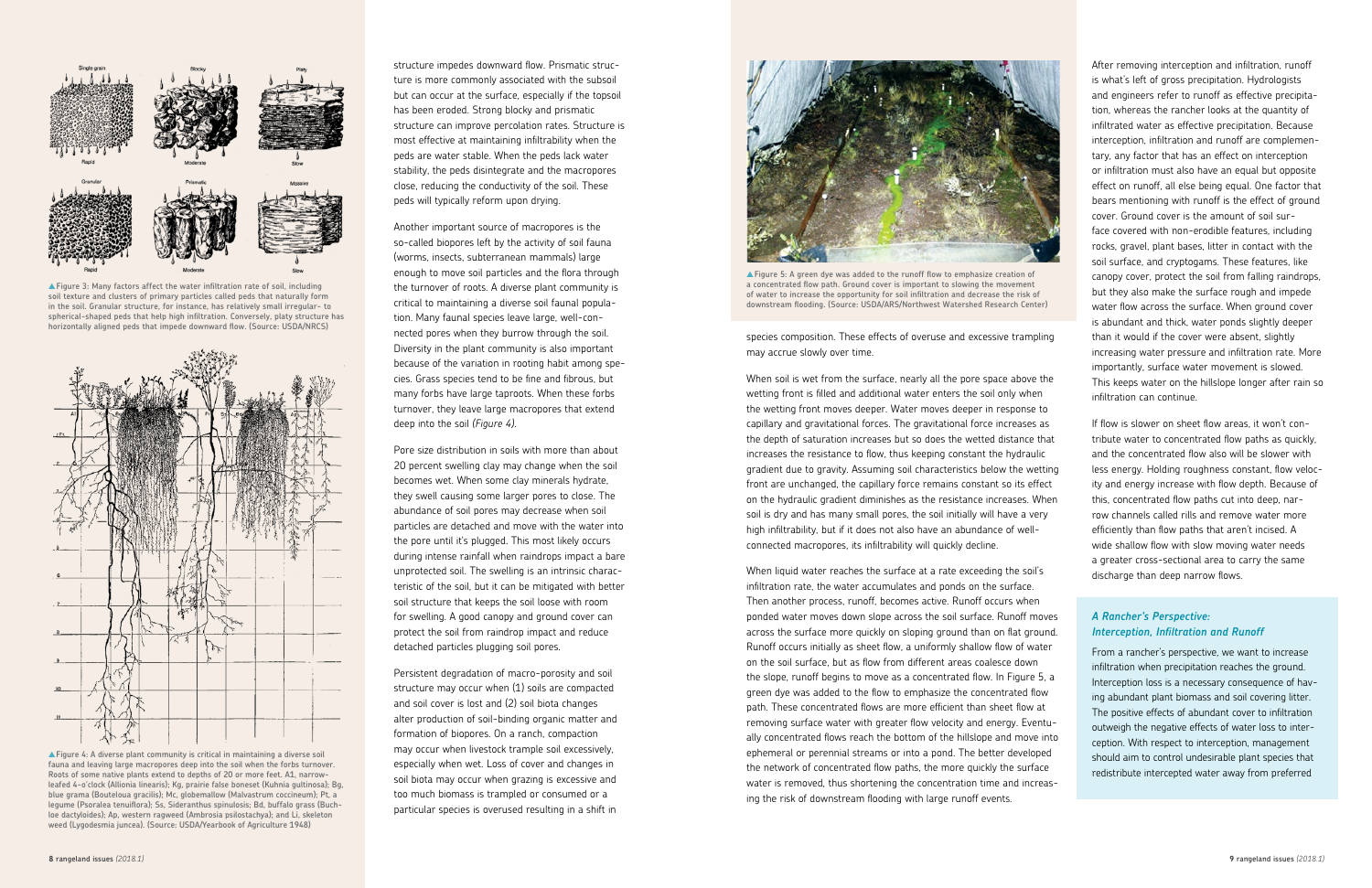species composition. These effects of overuse and excessive trampling may accrue slowly over time.

When soil is wet from the surface, nearly all the pore space above the wetting front is filled and additional water enters the soil only when the wetting front moves deeper. Water moves deeper in response to capillary and gravitational forces. The gravitational force increases as the depth of saturation increases but so does the wetted distance that increases the resistance to flow, thus keeping constant the hydraulic gradient due to gravity. Assuming soil characteristics below the wetting front are unchanged, the capillary force remains constant so its effect on the hydraulic gradient diminishes as the resistance increases. When soil is dry and has many small pores, the soil initially will have a very high infiltrability, but if it does not also have an abundance of wellconnected macropores, its infiltrability will quickly decline.

When liquid water reaches the surface at a rate exceeding the soil's infiltration rate, the water accumulates and ponds on the surface. Then another process, runoff, becomes active. Runoff occurs when ponded water moves down slope across the soil surface. Runoff moves across the surface more quickly on sloping ground than on flat ground. Runoff occurs initially as sheet flow, a uniformly shallow flow of water on the soil surface, but as flow from different areas coalesce down the slope, runoff begins to move as a concentrated flow. In Figure 5, a green dye was added to the flow to emphasize the concentrated flow path. These concentrated flows are more efficient than sheet flow at removing surface water with greater flow velocity and energy. Eventually concentrated flows reach the bottom of the hillslope and move into ephemeral or perennial streams or into a pond. The better developed the network of concentrated flow paths, the more quickly the surface water is removed, thus shortening the concentration time and increasing the risk of downstream flooding with large runoff events.

After removing interception and infiltration, runoff is what's left of gross precipitation. Hydrologists and engineers refer to runoff as effective precipitation, whereas the rancher looks at the quantity of infiltrated water as effective precipitation. Because interception, infiltration and runoff are complementary, any factor that has an effect on interception or infiltration must also have an equal but opposite effect on runoff, all else being equal. One factor that bears mentioning with runoff is the effect of ground cover. Ground cover is the amount of soil surface covered with non-erodible features, including rocks, gravel, plant bases, litter in contact with the soil surface, and cryptogams. These features, like canopy cover, protect the soil from falling raindrops, but they also make the surface rough and impede water flow across the surface. When ground cover is abundant and thick, water ponds slightly deeper than it would if the cover were absent, slightly increasing water pressure and infiltration rate. More importantly, surface water movement is slowed. This keeps water on the hillslope longer after rain so infiltration can continue.

If flow is slower on sheet flow areas, it won't contribute water to concentrated flow paths as quickly, and the concentrated flow also will be slower with less energy. Holding roughness constant, flow velocity and energy increase with flow depth. Because of this, concentrated flow paths cut into deep, narrow channels called rills and remove water more efficiently than flow paths that aren't incised. A wide shallow flow with slow moving water needs a greater cross-sectional area to carry the same discharge than deep narrow flows.



▲**Figure 3: Many factors affect the water infiltration rate of soil, including soil texture and clusters of primary particles called peds that naturally form in the soil. Granular structure, for instance, has relatively small irregular- to spherical-shaped peds that help high infiltration. Conversely, platy structure has horizontally aligned peds that impede downward flow. (Source: USDA/NRCS)**



▲ Figure 5: A green dye was added to the runoff flow to emphasize creation of **a concentrated flow path. Ground cover is important to slowing the movement of water to increase the opportunity for soil infiltration and decrease the risk of downstream flooding. (Source: USDA/ARS/Northwest Watershed Research Center)**

#### *A Rancher's Perspective: Interception, Infiltration and Runoff*

From a rancher's perspective, we want to increase infiltration when precipitation reaches the ground. Interception loss is a necessary consequence of having abundant plant biomass and soil covering litter. The positive effects of abundant cover to infiltration outweigh the negative effects of water loss to interception. With respect to interception, management should aim to control undesirable plant species that redistribute intercepted water away from preferred

structure impedes downward flow. Prismatic structure is more commonly associated with the subsoil but can occur at the surface, especially if the topsoil has been eroded. Strong blocky and prismatic structure can improve percolation rates. Structure is most effective at maintaining infiltrability when the peds are water stable. When the peds lack water stability, the peds disintegrate and the macropores close, reducing the conductivity of the soil. These peds will typically reform upon drying.

Another important source of macropores is the so-called biopores left by the activity of soil fauna (worms, insects, subterranean mammals) large enough to move soil particles and the flora through the turnover of roots. A diverse plant community is critical to maintaining a diverse soil faunal population. Many faunal species leave large, well-connected pores when they burrow through the soil. Diversity in the plant community is also important because of the variation in rooting habit among species. Grass species tend to be fine and fibrous, but many forbs have large taproots. When these forbs turnover, they leave large macropores that extend deep into the soil *(Figure 4)*.

Pore size distribution in soils with more than about 20 percent swelling clay may change when the soil becomes wet. When some clay minerals hydrate, they swell causing some larger pores to close. The abundance of soil pores may decrease when soil particles are detached and move with the water into the pore until it's plugged. This most likely occurs during intense rainfall when raindrops impact a bare unprotected soil. The swelling is an intrinsic characteristic of the soil, but it can be mitigated with better soil structure that keeps the soil loose with room for swelling. A good canopy and ground cover can protect the soil from raindrop impact and reduce detached particles plugging soil pores.

Persistent degradation of macro-porosity and soil structure may occur when (1) soils are compacted and soil cover is lost and (2) soil biota changes alter production of soil-binding organic matter and formation of biopores. On a ranch, compaction may occur when livestock trample soil excessively, especially when wet. Loss of cover and changes in soil biota may occur when grazing is excessive and too much biomass is trampled or consumed or a particular species is overused resulting in a shift in



▲**Figure 4: A diverse plant community is critical in maintaining a diverse soil fauna and leaving large macropores deep into the soil when the forbs turnover. Roots of some native plants extend to depths of 20 or more feet. A1, narrowleafed 4-o'clock (Allionia linearis); Kg, prairie false boneset (Kuhnia gultinosa); Bg, blue grama (Bouteloua gracilis); Mc, globemallow (Malvastrum coccineum); Pt, a legume (Psoralea tenuiflora); Ss, Sideranthus spinulosis; Bd, buffalo grass (Buchloe dactyloides); Ap, western ragweed (Ambrosia psilostachya); and Li, skeleton weed (Lygodesmia juncea). (Source: USDA/Yearbook of Agriculture 1948)**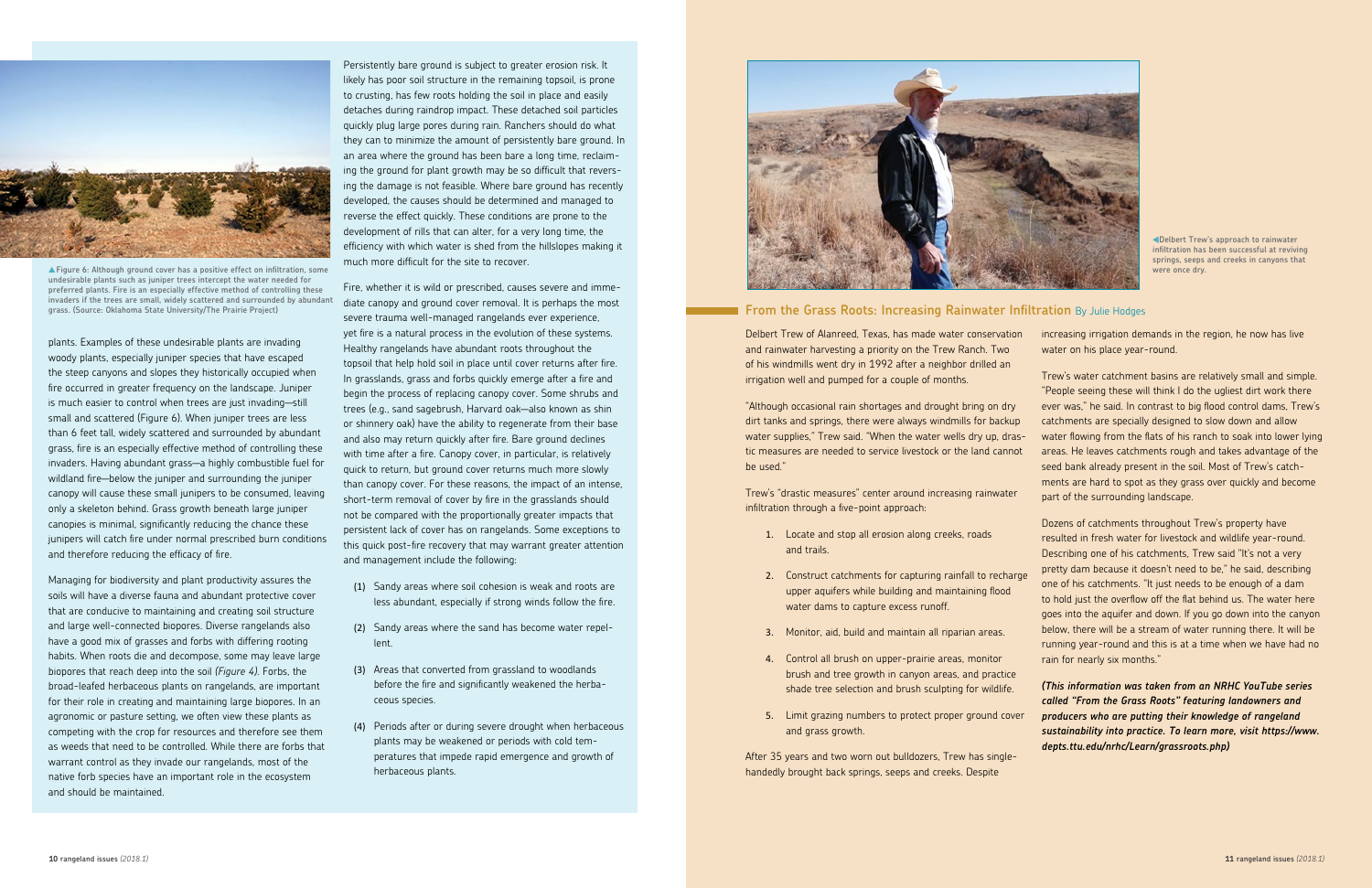Delbert Trew of Alanreed, Texas, has made water conservation and rainwater harvesting a priority on the Trew Ranch. Two of his windmills went dry in 1992 after a neighbor drilled an irrigation well and pumped for a couple of months.

"Although occasional rain shortages and drought bring on dry dirt tanks and springs, there were always windmills for backup water supplies," Trew said. "When the water wells dry up, drastic measures are needed to service livestock or the land cannot be used."

Trew's "drastic measures" center around increasing rainwater infiltration through a five-point approach:

- 1. Locate and stop all erosion along creeks, roads and trails.
- 2. Construct catchments for capturing rainfall to recharge upper aquifers while building and maintaining flood water dams to capture excess runoff.
- 3. Monitor, aid, build and maintain all riparian areas.
- 4. Control all brush on upper-prairie areas, monitor brush and tree growth in canyon areas, and practice shade tree selection and brush sculpting for wildlife.
- 5. Limit grazing numbers to protect proper ground cover and grass growth.

After 35 years and two worn out bulldozers, Trew has singlehandedly brought back springs, seeps and creeks. Despite

plants. Examples of these undesirable plants are invading woody plants, especially juniper species that have escaped the steep canyons and slopes they historically occupied when fire occurred in greater frequency on the landscape. Juniper is much easier to control when trees are just invading—still small and scattered (Figure 6). When juniper trees are less than 6 feet tall, widely scattered and surrounded by abundant grass, fire is an especially effective method of controlling these invaders. Having abundant grass—a highly combustible fuel for wildland fire—below the juniper and surrounding the juniper canopy will cause these small junipers to be consumed, leaving only a skeleton behind. Grass growth beneath large juniper canopies is minimal, significantly reducing the chance these junipers will catch fire under normal prescribed burn conditions and therefore reducing the efficacy of fire.

Managing for biodiversity and plant productivity assures the soils will have a diverse fauna and abundant protective cover that are conducive to maintaining and creating soil structure and large well-connected biopores. Diverse rangelands also have a good mix of grasses and forbs with differing rooting habits. When roots die and decompose, some may leave large biopores that reach deep into the soil *(Figure 4)*. Forbs, the broad-leafed herbaceous plants on rangelands, are important for their role in creating and maintaining large biopores. In an agronomic or pasture setting, we often view these plants as competing with the crop for resources and therefore see them as weeds that need to be controlled. While there are forbs that warrant control as they invade our rangelands, most of the native forb species have an important role in the ecosystem and should be maintained.

Persistently bare ground is subject to greater erosion risk. It likely has poor soil structure in the remaining topsoil, is prone to crusting, has few roots holding the soil in place and easily detaches during raindrop impact. These detached soil particles quickly plug large pores during rain. Ranchers should do what they can to minimize the amount of persistently bare ground. In an area where the ground has been bare a long time, reclaiming the ground for plant growth may be so difficult that reversing the damage is not feasible. Where bare ground has recently developed, the causes should be determined and managed to reverse the effect quickly. These conditions are prone to the development of rills that can alter, for a very long time, the efficiency with which water is shed from the hillslopes making it much more difficult for the site to recover.

Fire, whether it is wild or prescribed, causes severe and immediate canopy and ground cover removal. It is perhaps the most severe trauma well-managed rangelands ever experience, yet fire is a natural process in the evolution of these systems. Healthy rangelands have abundant roots throughout the topsoil that help hold soil in place until cover returns after fire. In grasslands, grass and forbs quickly emerge after a fire and begin the process of replacing canopy cover. Some shrubs and trees (e.g., sand sagebrush, Harvard oak—also known as shin or shinnery oak) have the ability to regenerate from their base and also may return quickly after fire. Bare ground declines with time after a fire. Canopy cover, in particular, is relatively quick to return, but ground cover returns much more slowly than canopy cover. For these reasons, the impact of an intense, short-term removal of cover by fire in the grasslands should not be compared with the proportionally greater impacts that persistent lack of cover has on rangelands. Some exceptions to this quick post-fire recovery that may warrant greater attention and management include the following:

- (1) Sandy areas where soil cohesion is weak and roots are less abundant, especially if strong winds follow the fire.
- (2) Sandy areas where the sand has become water repellent.
- (3) Areas that converted from grassland to woodlands before the fire and significantly weakened the herbaceous species.
- (4) Periods after or during severe drought when herbaceous plants may be weakened or periods with cold temperatures that impede rapid emergence and growth of herbaceous plants.



#### **From the Grass Roots: Increasing Rainwater Infiltration** By Julie Hodges

increasing irrigation demands in the region, he now has live water on his place year-round.

Trew's water catchment basins are relatively small and simple. "People seeing these will think I do the ugliest dirt work there ever was," he said. In contrast to big flood control dams, Trew's catchments are specially designed to slow down and allow water flowing from the flats of his ranch to soak into lower lying areas. He leaves catchments rough and takes advantage of the seed bank already present in the soil. Most of Trew's catchments are hard to spot as they grass over quickly and become part of the surrounding landscape.

Dozens of catchments throughout Trew's property have resulted in fresh water for livestock and wildlife year-round. Describing one of his catchments, Trew said "It's not a very pretty dam because it doesn't need to be," he said, describing one of his catchments. "It just needs to be enough of a dam to hold just the overflow off the flat behind us. The water here goes into the aquifer and down. If you go down into the canyon below, there will be a stream of water running there. It will be running year-round and this is at a time when we have had no rain for nearly six months."

*(This information was taken from an NRHC YouTube series called "From the Grass Roots" featuring landowners and producers who are putting their knowledge of rangeland sustainability into practice. To learn more, visit https://www. depts.ttu.edu/nrhc/Learn/grassroots.php)* 

**Delbert Trew's approach to rainwater infiltration has been successful at reviving springs, seeps and creeks in canyons that were once dry.**



▲**Figure 6: Although ground cover has a positive effect on infiltration, some undesirable plants such as juniper trees intercept the water needed for preferred plants. Fire is an especially effective method of controlling these invaders if the trees are small, widely scattered and surrounded by abundant grass. (Source: Oklahoma State University/The Prairie Project)**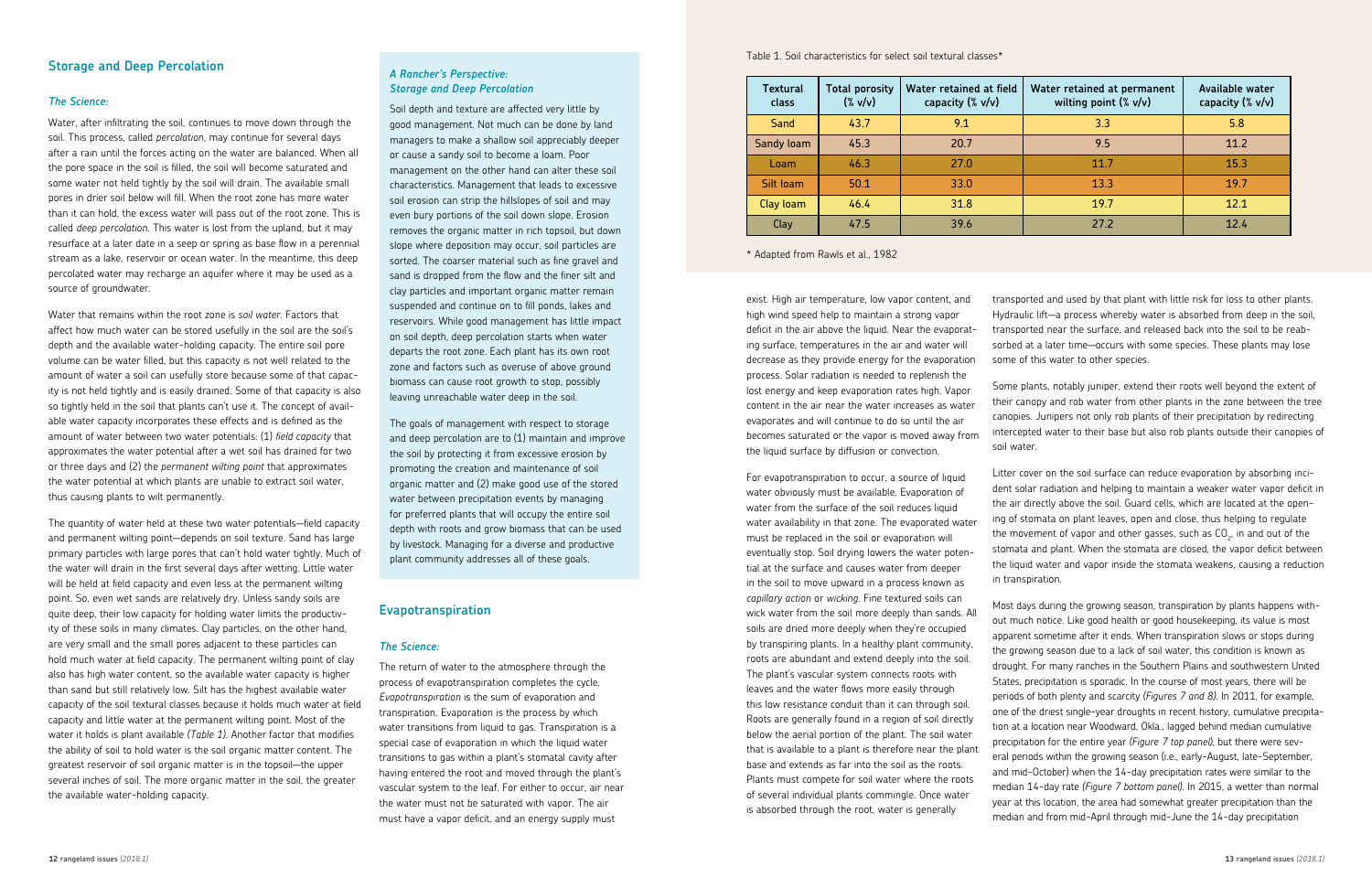transported and used by that plant with little risk for loss to other plants. Hydraulic lift—a process whereby water is absorbed from deep in the soil, transported near the surface, and released back into the soil to be reabsorbed at a later time—occurs with some species. These plants may lose some of this water to other species.

Some plants, notably juniper, extend their roots well beyond the extent of their canopy and rob water from other plants in the zone between the tree canopies. Junipers not only rob plants of their precipitation by redirecting intercepted water to their base but also rob plants outside their canopies of soil water.

Litter cover on the soil surface can reduce evaporation by absorbing incident solar radiation and helping to maintain a weaker water vapor deficit in

the air directly above the soil. Guard cells, which are located at the opening of stomata on plant leaves, open and close, thus helping to regulate the movement of vapor and other gasses, such as CO $_{_2^{\prime}}$  in and out of the stomata and plant. When the stomata are closed, the vapor deficit between the liquid water and vapor inside the stomata weakens, causing a reduction in transpiration. Most days during the growing season, transpiration by plants happens without much notice. Like good health or good housekeeping, its value is most apparent sometime after it ends. When transpiration slows or stops during the growing season due to a lack of soil water, this condition is known as drought. For many ranches in the Southern Plains and southwestern United States, precipitation is sporadic. In the course of most years, there will be periods of both plenty and scarcity *(Figures 7 and 8)*. In 2011, for example, one of the driest single-year droughts in recent history, cumulative precipitation at a location near Woodward, Okla., lagged behind median cumulative precipitation for the entire year *(Figure 7 top panel)*, but there were several periods within the growing season (i.e., early-August, late-September, and mid-October) when the 14-day precipitation rates were similar to the median 14-day rate *(Figure 7 bottom panel)*. In 2015, a wetter than normal year at this location, the area had somewhat greater precipitation than the median and from mid-April through mid-June the 14-day precipitation

#### **Storage and Deep Percolation**

#### *The Science:*

Water, after infiltrating the soil, continues to move down through the soil. This process, called *percolation*, may continue for several days after a rain until the forces acting on the water are balanced. When all the pore space in the soil is filled, the soil will become saturated and some water not held tightly by the soil will drain. The available small pores in drier soil below will fill. When the root zone has more water than it can hold, the excess water will pass out of the root zone. This is called *deep percolation*. This water is lost from the upland, but it may resurface at a later date in a seep or spring as base flow in a perennial stream as a lake, reservoir or ocean water. In the meantime, this deep percolated water may recharge an aquifer where it may be used as a source of groundwater.

Water that remains within the root zone is *soil water*. Factors that affect how much water can be stored usefully in the soil are the soil's depth and the available water-holding capacity. The entire soil pore volume can be water filled, but this capacity is not well related to the amount of water a soil can usefully store because some of that capacity is not held tightly and is easily drained. Some of that capacity is also so tightly held in the soil that plants can't use it. The concept of available water capacity incorporates these effects and is defined as the amount of water between two water potentials: (1) *field capacity* that approximates the water potential after a wet soil has drained for two or three days and (2) the *permanent wilting point* that approximates the water potential at which plants are unable to extract soil water, thus causing plants to wilt permanently.

The quantity of water held at these two water potentials—field capacity and permanent wilting point—depends on soil texture. Sand has large primary particles with large pores that can't hold water tightly. Much of the water will drain in the first several days after wetting. Little water will be held at field capacity and even less at the permanent wilting point. So, even wet sands are relatively dry. Unless sandy soils are quite deep, their low capacity for holding water limits the productivity of these soils in many climates. Clay particles, on the other hand, are very small and the small pores adjacent to these particles can hold much water at field capacity. The permanent wilting point of clay also has high water content, so the available water capacity is higher than sand but still relatively low. Silt has the highest available water capacity of the soil textural classes because it holds much water at field capacity and little water at the permanent wilting point. Most of the water it holds is plant available *(Table 1)*. Another factor that modifies the ability of soil to hold water is the soil organic matter content. The greatest reservoir of soil organic matter is in the topsoil—the upper several inches of soil. The more organic matter in the soil, the greater the available water-holding capacity.

Table 1. Soil characteristics for select soil textural classes\*

| Textural<br>class | <b>Total porosity</b><br>$(% \mathcal{L}(\mathcal{N})\cap \mathcal{N})$ | Water retained at field<br>capacity (% v/v) | Water retained at permanent<br>wilting point $(\% \text{ v/v})$ | <b>Available water</b><br>capacity (% v/v) |
|-------------------|-------------------------------------------------------------------------|---------------------------------------------|-----------------------------------------------------------------|--------------------------------------------|
| Sand              | 43.7                                                                    | 9.1                                         | 3.3                                                             | 5.8                                        |
| Sandy loam        | 45.3                                                                    | 20.7                                        | 9.5                                                             | 11.2                                       |
| Loam              | 46.3                                                                    | 27.0                                        | 11.7                                                            | 15.3                                       |
| Silt loam         | 50.1                                                                    | 33.0                                        | 13.3                                                            | 19.7                                       |
| Clay loam         | 46.4                                                                    | 31.8                                        | 19.7                                                            | 12.1                                       |
| Clay              | 47.5                                                                    | 39.6                                        | 27.2                                                            | 12.4                                       |

\* Adapted from Rawls et al., 1982

#### *A Rancher's Perspective: Storage and Deep Percolation*

Soil depth and texture are affected very little by good management. Not much can be done by land managers to make a shallow soil appreciably deeper or cause a sandy soil to become a loam. Poor management on the other hand can alter these soil characteristics. Management that leads to excessive soil erosion can strip the hillslopes of soil and may even bury portions of the soil down slope. Erosion removes the organic matter in rich topsoil, but down slope where deposition may occur, soil particles are sorted. The coarser material such as fine gravel and sand is dropped from the flow and the finer silt and clay particles and important organic matter remain suspended and continue on to fill ponds, lakes and reservoirs. While good management has little impact on soil depth, deep percolation starts when water departs the root zone. Each plant has its own root zone and factors such as overuse of above ground biomass can cause root growth to stop, possibly leaving unreachable water deep in the soil.

The goals of management with respect to storage and deep percolation are to (1) maintain and improve the soil by protecting it from excessive erosion by promoting the creation and maintenance of soil organic matter and (2) make good use of the stored water between precipitation events by managing for preferred plants that will occupy the entire soil depth with roots and grow biomass that can be used by livestock. Managing for a diverse and productive plant community addresses all of these goals.

#### **Evapotranspiration**

#### *The Science:*

The return of water to the atmosphere through the process of evapotranspiration completes the cycle. *Evapotranspiration* is the sum of evaporation and transpiration. Evaporation is the process by which water transitions from liquid to gas. Transpiration is a special case of evaporation in which the liquid water transitions to gas within a plant's stomatal cavity after having entered the root and moved through the plant's vascular system to the leaf. For either to occur, air near the water must not be saturated with vapor. The air must have a vapor deficit, and an energy supply must

exist. High air temperature, low vapor content, and high wind speed help to maintain a strong vapor deficit in the air above the liquid. Near the evaporating surface, temperatures in the air and water will decrease as they provide energy for the evaporation process. Solar radiation is needed to replenish the lost energy and keep evaporation rates high. Vapor content in the air near the water increases as water evaporates and will continue to do so until the air becomes saturated or the vapor is moved away from the liquid surface by diffusion or convection.

For evapotranspiration to occur, a source of liquid water obviously must be available. Evaporation of water from the surface of the soil reduces liquid water availability in that zone. The evaporated water must be replaced in the soil or evaporation will eventually stop. Soil drying lowers the water potential at the surface and causes water from deeper in the soil to move upward in a process known as *capillary action* or *wicking*. Fine textured soils can wick water from the soil more deeply than sands. All soils are dried more deeply when they're occupied by transpiring plants. In a healthy plant community, roots are abundant and extend deeply into the soil. The plant's vascular system connects roots with leaves and the water flows more easily through this low resistance conduit than it can through soil. Roots are generally found in a region of soil directly below the aerial portion of the plant. The soil water that is available to a plant is therefore near the plant base and extends as far into the soil as the roots. Plants must compete for soil water where the roots of several individual plants commingle. Once water is absorbed through the root, water is generally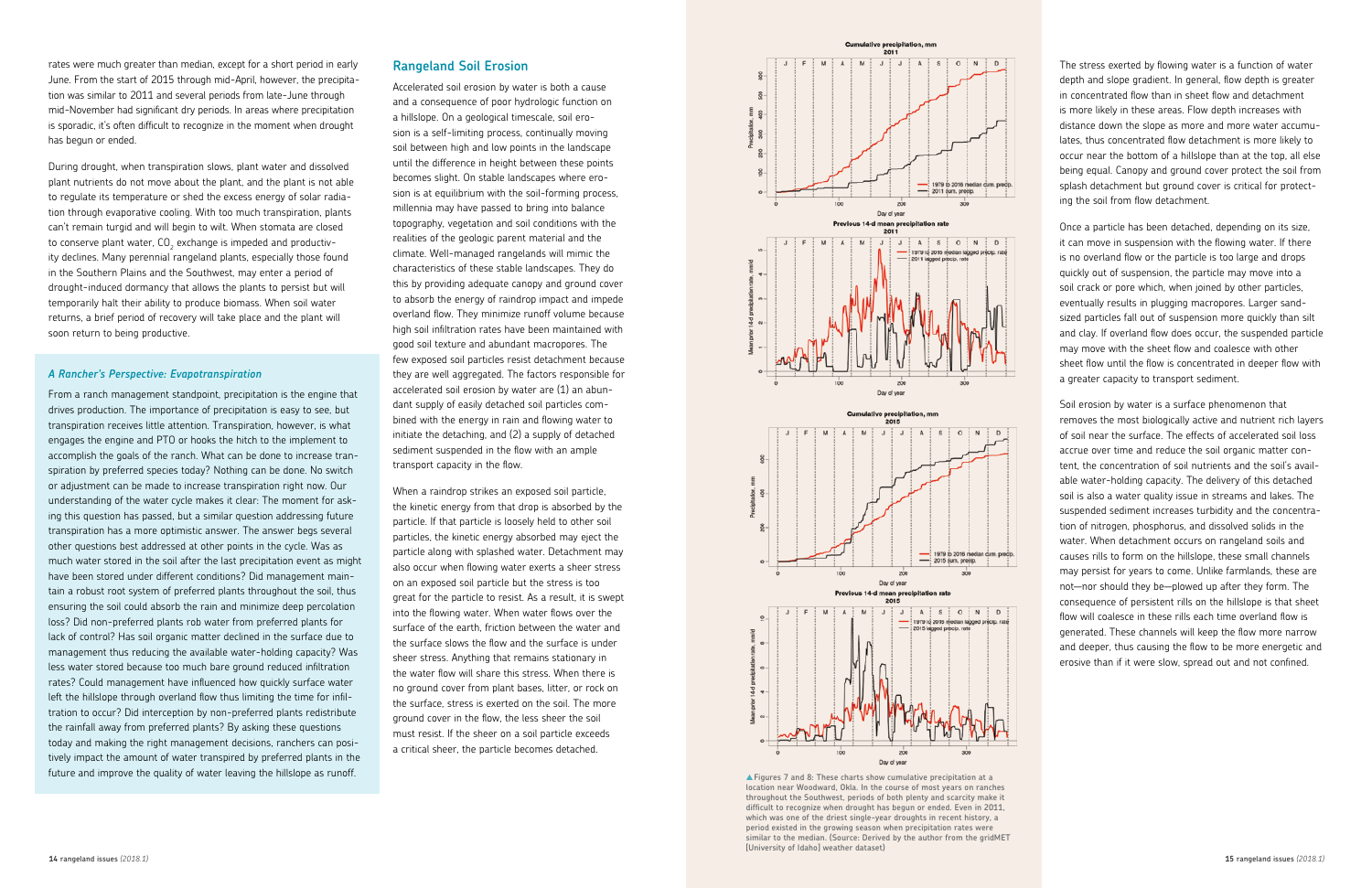#### **Rangeland Soil Erosion**

Accelerated soil erosion by water is both a cause and a consequence of poor hydrologic function on a hillslope. On a geological timescale, soil erosion is a self-limiting process, continually moving soil between high and low points in the landscape until the difference in height between these points becomes slight. On stable landscapes where erosion is at equilibrium with the soil-forming process, millennia may have passed to bring into balance topography, vegetation and soil conditions with the realities of the geologic parent material and the climate. Well-managed rangelands will mimic the characteristics of these stable landscapes. They do this by providing adequate canopy and ground cover to absorb the energy of raindrop impact and impede overland flow. They minimize runoff volume because high soil infiltration rates have been maintained with good soil texture and abundant macropores. The few exposed soil particles resist detachment because they are well aggregated. The factors responsible for accelerated soil erosion by water are (1) an abundant supply of easily detached soil particles combined with the energy in rain and flowing water to initiate the detaching, and (2) a supply of detached sediment suspended in the flow with an ample transport capacity in the flow.

When a raindrop strikes an exposed soil particle, the kinetic energy from that drop is absorbed by the particle. If that particle is loosely held to other soil particles, the kinetic energy absorbed may eject the particle along with splashed water. Detachment may also occur when flowing water exerts a sheer stress on an exposed soil particle but the stress is too great for the particle to resist. As a result, it is swept into the flowing water. When water flows over the surface of the earth, friction between the water and the surface slows the flow and the surface is under sheer stress. Anything that remains stationary in the water flow will share this stress. When there is no ground cover from plant bases, litter, or rock on the surface, stress is exerted on the soil. The more ground cover in the flow, the less sheer the soil must resist. If the sheer on a soil particle exceeds a critical sheer, the particle becomes detached.

rates were much greater than median, except for a short period in early June. From the start of 2015 through mid-April, however, the precipitation was similar to 2011 and several periods from late-June through mid-November had significant dry periods. In areas where precipitation is sporadic, it's often difficult to recognize in the moment when drought has begun or ended.

During drought, when transpiration slows, plant water and dissolved plant nutrients do not move about the plant, and the plant is not able to regulate its temperature or shed the excess energy of solar radiation through evaporative cooling. With too much transpiration, plants can't remain turgid and will begin to wilt. When stomata are closed to conserve plant water, CO $_{_2}$  exchange is impeded and productivity declines. Many perennial rangeland plants, especially those found in the Southern Plains and the Southwest, may enter a period of drought-induced dormancy that allows the plants to persist but will temporarily halt their ability to produce biomass. When soil water returns, a brief period of recovery will take place and the plant will soon return to being productive.

#### *A Rancher's Perspective: Evapotranspiration*



<sup>▲</sup> **Figures 7 and 8: These charts show cumulative precipitation at a location near Woodward, Okla. In the course of most years on ranches throughout the Southwest, periods of both plenty and scarcity make it difficult to recognize when drought has begun or ended. Even in 2011, which was one of the driest single-year droughts in recent history, a period existed in the growing season when precipitation rates were similar to the median. (Source: Derived by the author from the gridMET [University of Idaho] weather dataset)**

From a ranch management standpoint, precipitation is the engine that drives production. The importance of precipitation is easy to see, but transpiration receives little attention. Transpiration, however, is what engages the engine and PTO or hooks the hitch to the implement to accomplish the goals of the ranch. What can be done to increase transpiration by preferred species today? Nothing can be done. No switch or adjustment can be made to increase transpiration right now. Our understanding of the water cycle makes it clear: The moment for asking this question has passed, but a similar question addressing future transpiration has a more optimistic answer. The answer begs several other questions best addressed at other points in the cycle. Was as much water stored in the soil after the last precipitation event as might have been stored under different conditions? Did management maintain a robust root system of preferred plants throughout the soil, thus ensuring the soil could absorb the rain and minimize deep percolation loss? Did non-preferred plants rob water from preferred plants for lack of control? Has soil organic matter declined in the surface due to management thus reducing the available water-holding capacity? Was less water stored because too much bare ground reduced infiltration rates? Could management have influenced how quickly surface water left the hillslope through overland flow thus limiting the time for infiltration to occur? Did interception by non-preferred plants redistribute the rainfall away from preferred plants? By asking these questions today and making the right management decisions, ranchers can positively impact the amount of water transpired by preferred plants in the future and improve the quality of water leaving the hillslope as runoff.

The stress exerted by flowing water is a function of water depth and slope gradient. In general, flow depth is greater in concentrated flow than in sheet flow and detachment is more likely in these areas. Flow depth increases with distance down the slope as more and more water accumulates, thus concentrated flow detachment is more likely to occur near the bottom of a hillslope than at the top, all else being equal. Canopy and ground cover protect the soil from splash detachment but ground cover is critical for protecting the soil from flow detachment.

Once a particle has been detached, depending on its size, it can move in suspension with the flowing water. If there is no overland flow or the particle is too large and drops quickly out of suspension, the particle may move into a soil crack or pore which, when joined by other particles, eventually results in plugging macropores. Larger sandsized particles fall out of suspension more quickly than silt and clay. If overland flow does occur, the suspended particle may move with the sheet flow and coalesce with other sheet flow until the flow is concentrated in deeper flow with a greater capacity to transport sediment.

Soil erosion by water is a surface phenomenon that removes the most biologically active and nutrient rich layers of soil near the surface. The effects of accelerated soil loss accrue over time and reduce the soil organic matter content, the concentration of soil nutrients and the soil's available water-holding capacity. The delivery of this detached soil is also a water quality issue in streams and lakes. The suspended sediment increases turbidity and the concentration of nitrogen, phosphorus, and dissolved solids in the water. When detachment occurs on rangeland soils and causes rills to form on the hillslope, these small channels may persist for years to come. Unlike farmlands, these are not—nor should they be—plowed up after they form. The consequence of persistent rills on the hillslope is that sheet flow will coalesce in these rills each time overland flow is generated. These channels will keep the flow more narrow and deeper, thus causing the flow to be more energetic and erosive than if it were slow, spread out and not confined.